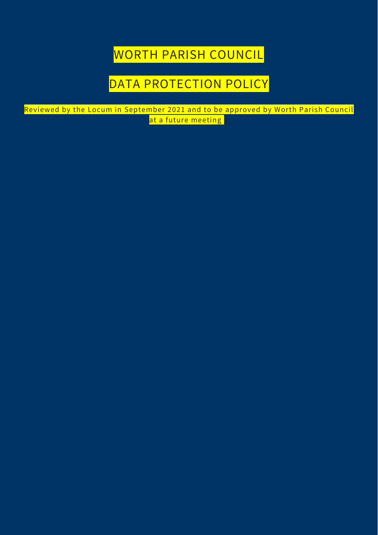WORTH PARISH COUNCIL

### DATA PROTECTION POLICY

Reviewed by the Locum in September 2021 and to be approved by Worth Parish Council at a future meeting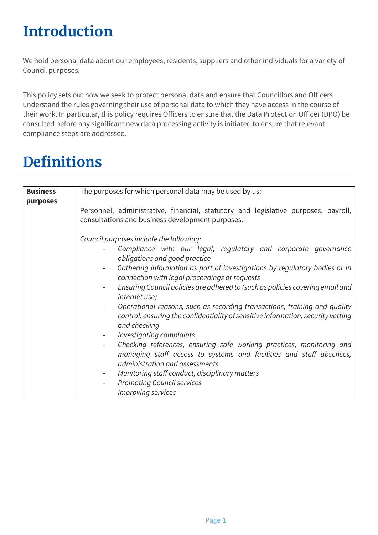# **Introduction**

We hold personal data about our employees, residents, suppliers and other individuals for a variety of Council purposes.

This policy sets out how we seek to protect personal data and ensure that Councillors and Officers understand the rules governing their use of personal data to which they have access in the course of their work. In particular, this policy requires Officers to ensure that the Data Protection Officer (DPO) be consulted before any significant new data processing activity is initiated to ensure that relevant compliance steps are addressed.

# **Definitions**

| <b>Business</b> | The purposes for which personal data may be used by us:                                                                                                                                                                                                                                                                                                                                                                                                                                                                                                                                                                                                                                                                                                                                                                                                                  |
|-----------------|--------------------------------------------------------------------------------------------------------------------------------------------------------------------------------------------------------------------------------------------------------------------------------------------------------------------------------------------------------------------------------------------------------------------------------------------------------------------------------------------------------------------------------------------------------------------------------------------------------------------------------------------------------------------------------------------------------------------------------------------------------------------------------------------------------------------------------------------------------------------------|
| purposes        | Personnel, administrative, financial, statutory and legislative purposes, payroll,<br>consultations and business development purposes.                                                                                                                                                                                                                                                                                                                                                                                                                                                                                                                                                                                                                                                                                                                                   |
|                 | Council purposes include the following:<br>Compliance with our legal, regulatory and corporate governance<br>obligations and good practice<br>Gathering information as part of investigations by regulatory bodies or in<br>connection with legal proceedings or requests<br>Ensuring Council policies are adhered to (such as policies covering email and<br><i>internet use</i> )<br>Operational reasons, such as recording transactions, training and quality<br>control, ensuring the confidentiality of sensitive information, security vetting<br>and checking<br>Investigating complaints<br>Checking references, ensuring safe working practices, monitoring and<br>managing staff access to systems and facilities and staff absences,<br>administration and assessments<br>Monitoring staff conduct, disciplinary matters<br><b>Promoting Council services</b> |
|                 | Improving services                                                                                                                                                                                                                                                                                                                                                                                                                                                                                                                                                                                                                                                                                                                                                                                                                                                       |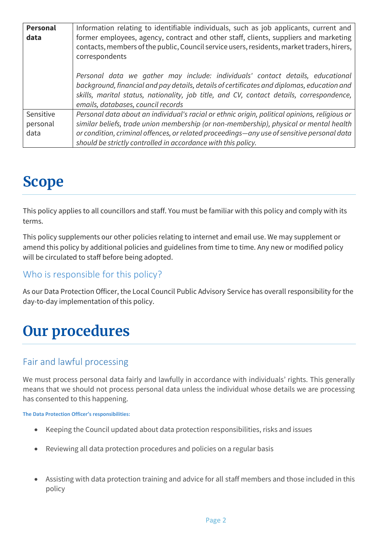| <b>Personal</b> | Information relating to identifiable individuals, such as job applicants, current and                                                                                                                                                                                                                          |  |  |
|-----------------|----------------------------------------------------------------------------------------------------------------------------------------------------------------------------------------------------------------------------------------------------------------------------------------------------------------|--|--|
| data            | former employees, agency, contract and other staff, clients, suppliers and marketing<br>contacts, members of the public, Council service users, residents, market traders, hirers,<br>correspondents                                                                                                           |  |  |
|                 | Personal data we gather may include: individuals' contact details, educational<br>background, financial and pay details, details of certificates and diplomas, education and<br>skills, marital status, nationality, job title, and CV, contact details, correspondence,<br>emails, databases, council records |  |  |
| Sensitive       | Personal data about an individual's racial or ethnic origin, political opinions, religious or                                                                                                                                                                                                                  |  |  |
| personal        | similar beliefs, trade union membership (or non-membership), physical or mental health                                                                                                                                                                                                                         |  |  |
| data            | or condition, criminal offences, or related proceedings-any use of sensitive personal data<br>should be strictly controlled in accordance with this policy.                                                                                                                                                    |  |  |

### **Scope**

This policy applies to all councillors and staff. You must be familiar with this policy and comply with its terms.

This policy supplements our other policies relating to internet and email use. We may supplement or amend this policy by additional policies and guidelines from time to time. Any new or modified policy will be circulated to staff before being adopted.

#### Who is responsible for this policy?

As our Data Protection Officer, the Local Council Public Advisory Service has overall responsibility for the day-to-day implementation of this policy.

# **Our procedures**

#### Fair and lawful processing

We must process personal data fairly and lawfully in accordance with individuals' rights. This generally means that we should not process personal data unless the individual whose details we are processing has consented to this happening.

#### **The Data Protection Officer's responsibilities:**

- Keeping the Council updated about data protection responsibilities, risks and issues
- Reviewing all data protection procedures and policies on a regular basis
- Assisting with data protection training and advice for all staff members and those included in this policy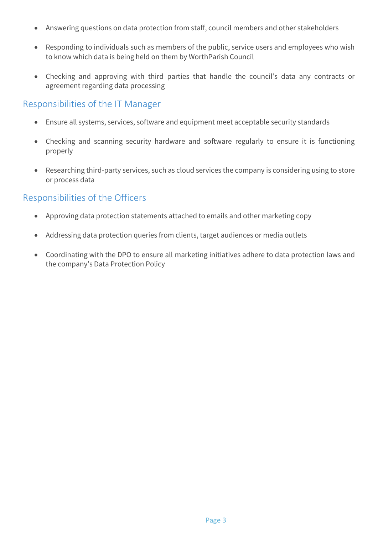- Answering questions on data protection from staff, council members and other stakeholders
- Responding to individuals such as members of the public, service users and employees who wish to know which data is being held on them by WorthParish Council
- Checking and approving with third parties that handle the council's data any contracts or agreement regarding data processing

#### Responsibilities of the IT Manager

- Ensure all systems, services, software and equipment meet acceptable security standards
- Checking and scanning security hardware and software regularly to ensure it is functioning properly
- Researching third-party services, such as cloud services the company is considering using to store or process data

#### Responsibilities of the Officers

- Approving data protection statements attached to emails and other marketing copy
- Addressing data protection queries from clients, target audiences or media outlets
- Coordinating with the DPO to ensure all marketing initiatives adhere to data protection laws and the company's Data Protection Policy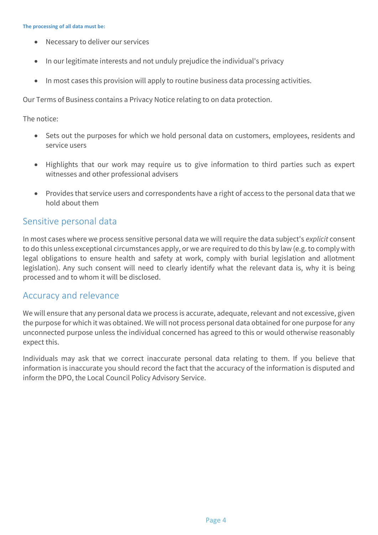- Necessary to deliver our services
- In our legitimate interests and not unduly prejudice the individual's privacy
- In most cases this provision will apply to routine business data processing activities.

Our Terms of Business contains a Privacy Notice relating to on data protection.

The notice:

- Sets out the purposes for which we hold personal data on customers, employees, residents and service users
- Highlights that our work may require us to give information to third parties such as expert witnesses and other professional advisers
- Provides that service users and correspondents have a right of access to the personal data that we hold about them

#### Sensitive personal data

In most cases where we process sensitive personal data we will require the data subject's *explicit* consent to do this unless exceptional circumstances apply, or we are required to do this by law (e.g. to comply with legal obligations to ensure health and safety at work, comply with burial legislation and allotment legislation). Any such consent will need to clearly identify what the relevant data is, why it is being processed and to whom it will be disclosed.

#### Accuracy and relevance

We will ensure that any personal data we process is accurate, adequate, relevant and not excessive, given the purpose for which it was obtained. We will not process personal data obtained for one purpose for any unconnected purpose unless the individual concerned has agreed to this or would otherwise reasonably expect this.

Individuals may ask that we correct inaccurate personal data relating to them. If you believe that information is inaccurate you should record the fact that the accuracy of the information is disputed and inform the DPO, the Local Council Policy Advisory Service.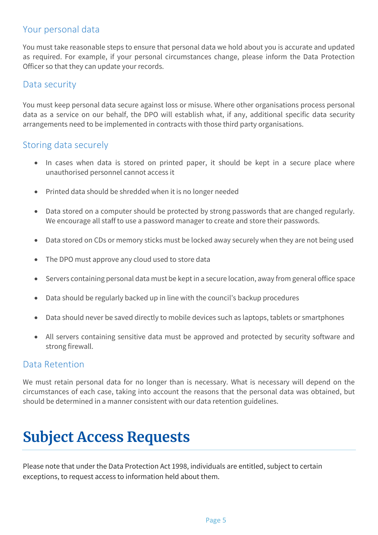#### Your personal data

You must take reasonable steps to ensure that personal data we hold about you is accurate and updated as required. For example, if your personal circumstances change, please inform the Data Protection Officer so that they can update your records.

#### Data security

You must keep personal data secure against loss or misuse. Where other organisations process personal data as a service on our behalf, the DPO will establish what, if any, additional specific data security arrangements need to be implemented in contracts with those third party organisations.

#### Storing data securely

- In cases when data is stored on printed paper, it should be kept in a secure place where unauthorised personnel cannot access it
- Printed data should be shredded when it is no longer needed
- Data stored on a computer should be protected by strong passwords that are changed regularly. We encourage all staff to use a [password manager](http://cybersecurityzen.com/cybersecurity/keep-data-safe-rise-password-managers-1654/) to create and store their passwords.
- Data stored on CDs or memory sticks must be locked away securely when they are not being used
- The DPO must approve any cloud used to store data
- Servers containing personal data must be kept in a secure location, away from general office space
- Data should be regularly backed up in line with the council's backup procedures
- Data should never be saved directly to mobile devices such as laptops, tablets or smartphones
- All servers containing sensitive data must be approved and protected by security software and strong firewall.

#### Data Retention

We must retain personal data for no longer than is necessary. What is necessary will depend on the circumstances of each case, taking into account the reasons that the personal data was obtained, but should be determined in a manner consistent with our data retention guidelines.

## **Subject Access Requests**

Please note that under the Data Protection Act 1998, individuals are entitled, subject to certain exceptions, to request access to information held about them.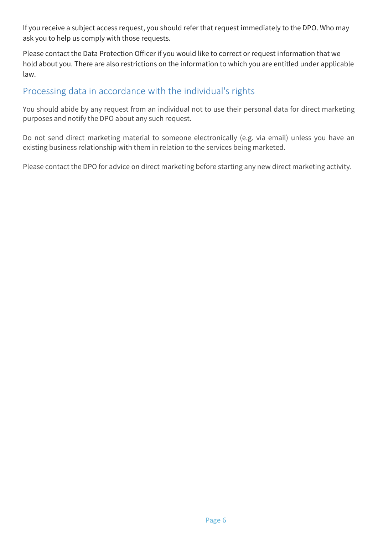If you receive a subject access request, you should refer that request immediately to the DPO. Who may ask you to help us comply with those requests.

Please contact the Data Protection Officer if you would like to correct or request information that we hold about you. There are also restrictions on the information to which you are entitled under applicable law.

#### Processing data in accordance with the individual's rights

You should abide by any request from an individual not to use their personal data for direct marketing purposes and notify the DPO about any such request.

Do not send direct marketing material to someone electronically (e.g. via email) unless you have an existing business relationship with them in relation to the services being marketed.

Please contact the DPO for advice on direct marketing before starting any new direct marketing activity.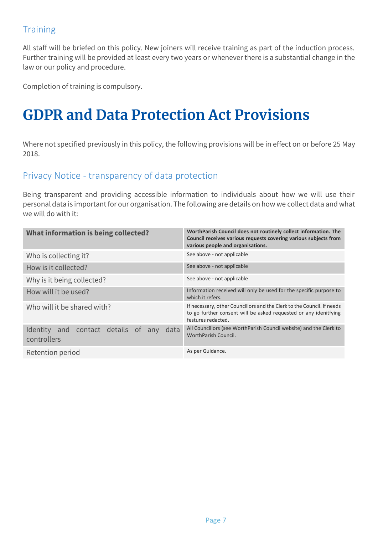### **Training**

All staff will be briefed on this policy. New joiners will receive training as part of the induction process. Further training will be provided at least every two years or whenever there is a substantial change in the law or our policy and procedure.

Completion of training is compulsory.

## **GDPR and Data Protection Act Provisions**

Where not specified previously in this policy, the following provisions will be in effect on or before 25 May 2018.

#### Privacy Notice - transparency of data protection

Being transparent and providing accessible information to individuals about how we will use their personal data is important for our organisation. The following are details on how we collect data and what we will do with it:

| What information is being collected?                          | WorthParish Council does not routinely collect information. The<br>Council receives various requests covering various subjects from<br>various people and organisations. |
|---------------------------------------------------------------|--------------------------------------------------------------------------------------------------------------------------------------------------------------------------|
| Who is collecting it?                                         | See above - not applicable                                                                                                                                               |
| How is it collected?                                          | See above - not applicable                                                                                                                                               |
| Why is it being collected?                                    | See above - not applicable                                                                                                                                               |
| How will it be used?                                          | Information received will only be used for the specific purpose to<br>which it refers.                                                                                   |
| Who will it be shared with?                                   | If necessary, other Councillors and the Clerk to the Council. If needs<br>to go further consent will be asked requested or any idenitfying<br>festures redacted.         |
| Identity and contact details of<br>data<br>any<br>controllers | All Councillors (see WorthParish Council website) and the Clerk to<br>WorthParish Council.                                                                               |
| Retention period                                              | As per Guidance.                                                                                                                                                         |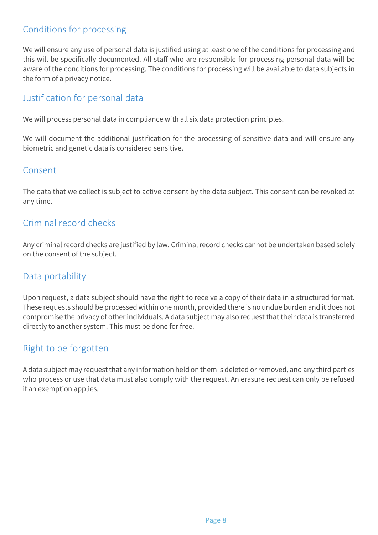#### Conditions for processing

We will ensure any use of personal data is justified using at least one of the conditions for processing and this will be specifically documented. All staff who are responsible for processing personal data will be aware of the conditions for processing. The conditions for processing will be available to data subjects in the form of a privacy notice.

#### Justification for personal data

We will process personal data in compliance with all six data protection principles.

We will document the additional justification for the processing of sensitive data and will ensure any biometric and genetic data is considered sensitive.

#### Consent

The data that we collect is subject to active consent by the data subject. This consent can be revoked at any time.

#### Criminal record checks

Any criminal record checks are justified by law. Criminal record checks cannot be undertaken based solely on the consent of the subject.

#### Data portability

Upon request, a data subject should have the right to receive a copy of their data in a structured format. These requests should be processed within one month, provided there is no undue burden and it does not compromise the privacy of other individuals. A data subject may also request that their data is transferred directly to another system. This must be done for free.

#### Right to be forgotten

A data subject may request that any information held on them is deleted or removed, and any third parties who process or use that data must also comply with the request. An erasure request can only be refused if an exemption applies.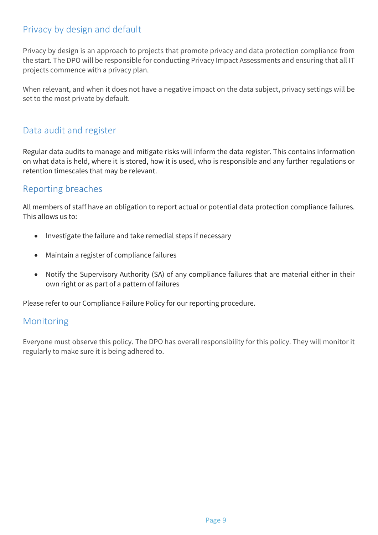#### Privacy by design and default

Privacy by design is an approach to projects that promote privacy and data protection compliance from the start. The DPO will be responsible for conducting Privacy Impact Assessments and ensuring that all IT projects commence with a privacy plan.

When relevant, and when it does not have a negative impact on the data subject, privacy settings will be set to the most private by default.

#### Data audit and register

Regular data audits to manage and mitigate risks will inform the data register. This contains information on what data is held, where it is stored, how it is used, who is responsible and any further regulations or retention timescales that may be relevant.

#### Reporting breaches

All members of staff have an obligation to report actual or potential data protection compliance failures. This allows us to:

- Investigate the failure and take remedial steps if necessary
- Maintain a register of compliance failures
- Notify the Supervisory Authority (SA) of any compliance failures that are material either in their own right or as part of a pattern of failures

Please refer to our Compliance Failure Policy for our reporting procedure.

#### Monitoring

Everyone must observe this policy. The DPO has overall responsibility for this policy. They will monitor it regularly to make sure it is being adhered to.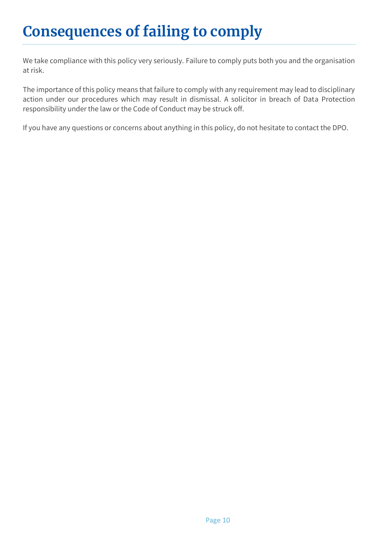# Consequences of failing to comply

We take compliance with this policy very seriously. Failure to comply puts both you and the organisation at risk.

The importance of this policy means that failure to comply with any requirement may lead to disciplinary action under our procedures which may result in dismissal. A solicitor in breach of Data Protection responsibility under the law or the Code of Conduct may be struck off.

If you have any questions or concerns about anything in this policy, do not hesitate to contact the DPO.